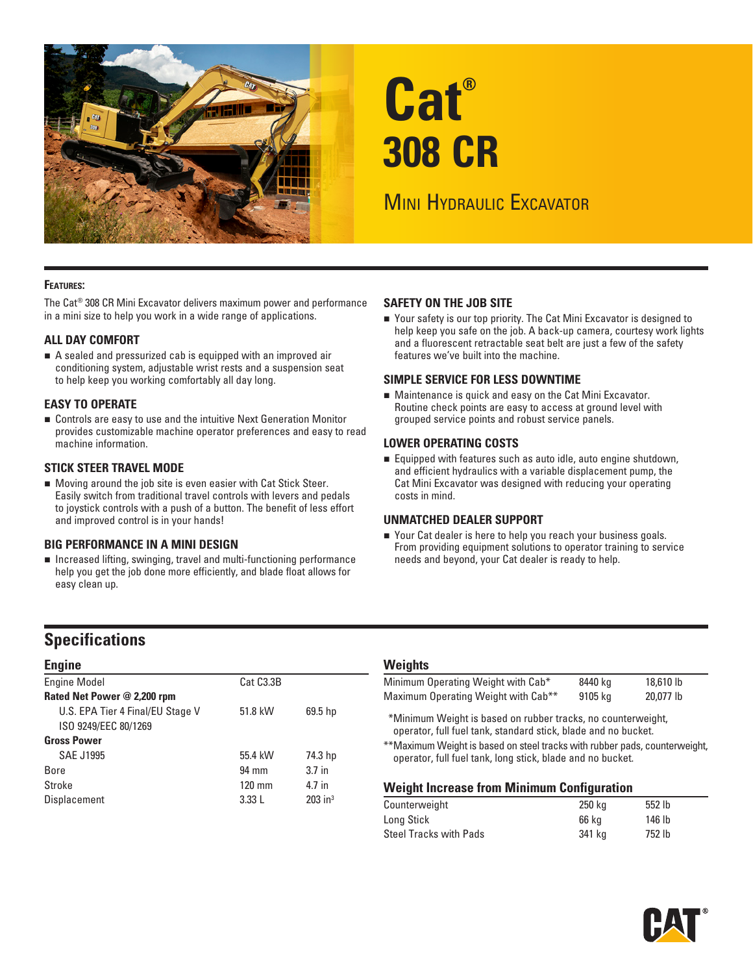

# **Cat® 308 CR**

## **MINI HYDRAULIC EXCAVATOR**

#### **Features:**

The Cat® 308 CR Mini Excavator delivers maximum power and performance in a mini size to help you work in a wide range of applications.

#### **ALL DAY COMFORT**

 A sealed and pressurized cab is equipped with an improved air conditioning system, adjustable wrist rests and a suspension seat to help keep you working comfortably all day long.

#### **EASY TO OPERATE**

 Controls are easy to use and the intuitive Next Generation Monitor provides customizable machine operator preferences and easy to read machine information.

#### **STICK STEER TRAVEL MODE**

 Moving around the job site is even easier with Cat Stick Steer. Easily switch from traditional travel controls with levers and pedals to joystick controls with a push of a button. The benefit of less effort and improved control is in your hands!

#### **BIG PERFORMANCE IN A MINI DESIGN**

 $\blacksquare$  Increased lifting, swinging, travel and multi-functioning performance help you get the job done more efficiently, and blade float allows for easy clean up.

#### **SAFETY ON THE JOB SITE**

■ Your safety is our top priority. The Cat Mini Excavator is designed to help keep you safe on the job. A back-up camera, courtesy work lights and a fluorescent retractable seat belt are just a few of the safety features we've built into the machine.

#### **SIMPLE SERVICE FOR LESS DOWNTIME**

 Maintenance is quick and easy on the Cat Mini Excavator. Routine check points are easy to access at ground level with grouped service points and robust service panels.

#### **LOWER OPERATING COSTS**

 Equipped with features such as auto idle, auto engine shutdown, and efficient hydraulics with a variable displacement pump, the Cat Mini Excavator was designed with reducing your operating costs in mind.

#### **UNMATCHED DEALER SUPPORT**

■ Your Cat dealer is here to help you reach your business goals. From providing equipment solutions to operator training to service needs and beyond, your Cat dealer is ready to help.

### **Specifications**

| <b>Engine</b>                    |                        |                       |  |  |  |  |  |  |  |
|----------------------------------|------------------------|-----------------------|--|--|--|--|--|--|--|
| <b>Engine Model</b>              | Cat C <sub>3.3</sub> B |                       |  |  |  |  |  |  |  |
| Rated Net Power @ 2,200 rpm      |                        |                       |  |  |  |  |  |  |  |
| U.S. EPA Tier 4 Final/EU Stage V | 51.8 kW                | 69.5 hp               |  |  |  |  |  |  |  |
| ISO 9249/EEC 80/1269             |                        |                       |  |  |  |  |  |  |  |
| <b>Gross Power</b>               |                        |                       |  |  |  |  |  |  |  |
| <b>SAE J1995</b>                 | 55.4 kW                | 74.3 hp               |  |  |  |  |  |  |  |
| <b>Bore</b>                      | 94 mm                  | 3.7 <sub>in</sub>     |  |  |  |  |  |  |  |
| Stroke                           | $120 \text{ mm}$       | 4.7 in                |  |  |  |  |  |  |  |
| Displacement                     | 3.33L                  | $203$ in <sup>3</sup> |  |  |  |  |  |  |  |

#### **Weights**

| Minimum Operating Weight with Cab*              | 8440 kg | 18,610 lb |  |
|-------------------------------------------------|---------|-----------|--|
| Maximum Operating Weight with Cab <sup>**</sup> | 9105 kg | 20.077 lb |  |

\*\*Minimum Weight is based on rubber tracks, no counterweight, operator, full fuel tank, standard stick, blade and no bucket.

\*\*Maximum Weight is based on steel tracks with rubber pads, counterweight, operator, full fuel tank, long stick, blade and no bucket.

#### **Weight Increase from Minimum Configuration**

| 250 ka | 552 lb |  |
|--------|--------|--|
| 66 ka  | 146 lb |  |
| 341 ka | 752 lb |  |
|        |        |  |

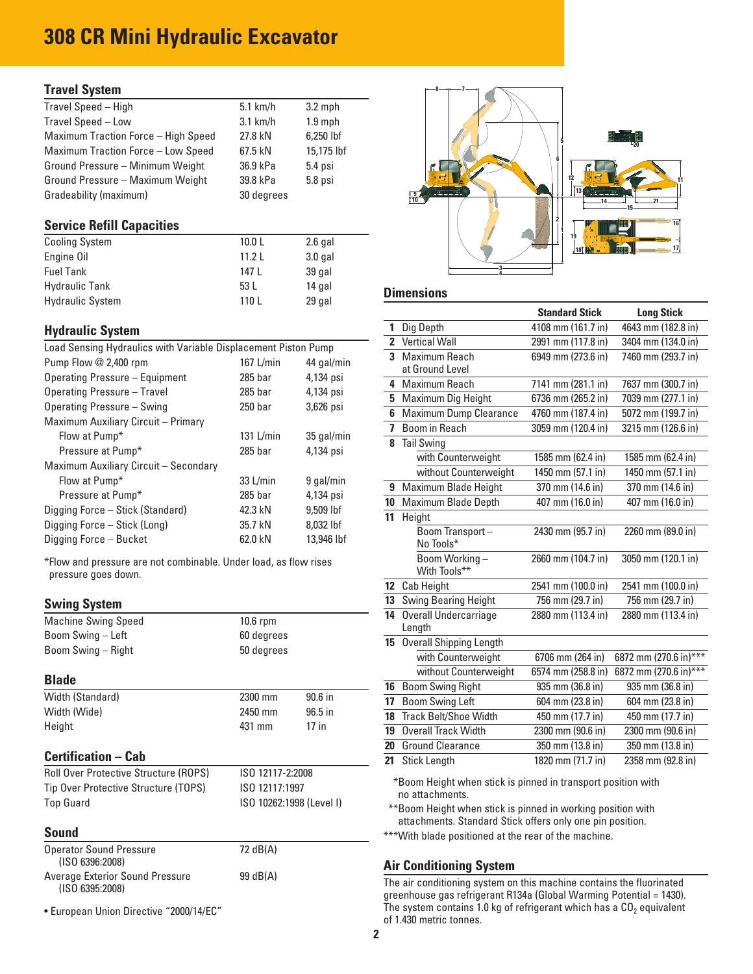## **308 CR Mini Hydraulic Excavator**

#### **Travel System**

| Travel Speed - High                 | $5.1$ km/h | $3.2$ mph  |
|-------------------------------------|------------|------------|
| Travel Speed - Low                  | $3.1$ km/h | $1.9$ mph  |
| Maximum Traction Force - High Speed | 27.8 kN    | 6,250 lbf  |
| Maximum Traction Force - Low Speed  | 67.5 kN    | 15,175 lbf |
| Ground Pressure - Minimum Weight    | 36.9 kPa   | 5.4 psi    |
| Ground Pressure - Maximum Weight    | 39.8 kPa   | 5.8 psi    |
| Gradeability (maximum)              | 30 degrees |            |

#### **Service Refill Capacities**

| <b>Cooling System</b>   | 10.0 <sub>L</sub> | $2.6$ gal |
|-------------------------|-------------------|-----------|
| Engine Oil              | 11.2L             | $3.0$ gal |
| <b>Fuel Tank</b>        | 147 I             | 39 gal    |
| <b>Hydraulic Tank</b>   | 53 L              | 14 gal    |
| <b>Hydraulic System</b> | 110L              | 29 gal    |

#### **Hydraulic System**

| Load Sensing Hydraulics with Variable Displacement Piston Pump |           |            |  |  |  |  |  |  |  |
|----------------------------------------------------------------|-----------|------------|--|--|--|--|--|--|--|
| Pump Flow @ 2,400 rpm<br>167 L/min<br>44 gal/min               |           |            |  |  |  |  |  |  |  |
| Operating Pressure - Equipment                                 | $285$ bar | 4,134 psi  |  |  |  |  |  |  |  |
| Operating Pressure - Travel                                    | $285$ bar | 4,134 psi  |  |  |  |  |  |  |  |
| Operating Pressure - Swing                                     | $250$ bar | 3,626 psi  |  |  |  |  |  |  |  |
| Maximum Auxiliary Circuit - Primary                            |           |            |  |  |  |  |  |  |  |
| Flow at Pump*                                                  | 131 L/min | 35 gal/min |  |  |  |  |  |  |  |
| Pressure at Pump*                                              | $285$ bar | 4,134 psi  |  |  |  |  |  |  |  |
| Maximum Auxiliary Circuit - Secondary                          |           |            |  |  |  |  |  |  |  |
| Flow at Pump*                                                  | 33 L/min  | 9 gal/min  |  |  |  |  |  |  |  |
| Pressure at Pump*                                              | $285$ bar | 4,134 psi  |  |  |  |  |  |  |  |
| Digging Force - Stick (Standard)                               | 42.3 kN   | 9.509 lbf  |  |  |  |  |  |  |  |
| Digging Force - Stick (Long)                                   | 35.7 kN   | 8,032 lbf  |  |  |  |  |  |  |  |
| Digging Force - Bucket                                         | 62.0 kN   | 13,946 lbf |  |  |  |  |  |  |  |

\*Flow and pressure are not combinable. Under load, as flow rises pressure goes down.

#### **Swing System**

| <b>Machine Swing Speed</b> | $10.6$ rpm |
|----------------------------|------------|
| Boom Swing - Left          | 60 degrees |
| Boom Swing – Right         | 50 degrees |

#### **Blade**

| Width (Standard) | 2300 mm | $90.6$ in |
|------------------|---------|-----------|
| Width (Wide)     | 2450 mm | $96.5$ in |
| Height           | 431 mm  | 17 in     |

#### **Certification – Cab**

| <b>Roll Over Protective Structure (ROPS)</b> | ISO 12117-2:2008         |
|----------------------------------------------|--------------------------|
| Tip Over Protective Structure (TOPS)         | ISO 12117:1997           |
| <b>Top Guard</b>                             | ISO 10262:1998 (Level I) |

#### **Sound**

| <b>Operator Sound Pressure</b><br>(ISO 6396:2008)  | 72 dB(A) |
|----------------------------------------------------|----------|
| Average Exterior Sound Pressure<br>(ISO 6395:2008) | 99 dB(A) |

• European Union Directive "2000/14/EC"



#### **Dimensions**

|                 |                                | <b>Standard Stick</b> | <b>Long Stick</b>                 |
|-----------------|--------------------------------|-----------------------|-----------------------------------|
| 1               | Dig Depth                      | 4108 mm (161.7 in)    | 4643 mm (182.8 in)                |
|                 | 2 Vertical Wall                | 2991 mm (117.8 in)    | 3404 mm (134.0 in)                |
| 3               | Maximum Reach                  | 6949 mm (273.6 in)    | 7460 mm (293.7 in)                |
|                 | at Ground Level                |                       |                                   |
| 4               | Maximum Reach                  | 7141 mm (281.1 in)    | 7637 mm (300.7 in)                |
| 5.              | Maximum Dig Height             | 6736 mm (265.2 in)    | 7039 mm (277.1 in)                |
| 6               | Maximum Dump Clearance         | 4760 mm (187.4 in)    | 5072 mm (199.7 in)                |
| 7               | Boom in Reach                  | 3059 mm (120.4 in)    | 3215 mm (126.6 in)                |
| 8               | <b>Tail Swing</b>              |                       |                                   |
|                 | with Counterweight             | 1585 mm (62.4 in)     | 1585 mm (62.4 in)                 |
|                 | without Counterweight          | 1450 mm (57.1 in)     | 1450 mm (57.1 in)                 |
| 9               | Maximum Blade Height           | 370 mm (14.6 in)      | 370 mm (14.6 in)                  |
| 10              | Maximum Blade Depth            | 407 mm (16.0 in)      | 407 mm (16.0 in)                  |
| 11              | Height                         |                       |                                   |
|                 | Boom Transport-                | 2430 mm (95.7 in)     | 2260 mm (89.0 in)                 |
|                 | No Tools*                      |                       |                                   |
|                 | Boom Working-<br>With Tools**  | 2660 mm (104.7 in)    | 3050 mm (120.1 in)                |
| 12 <sup>2</sup> | Cab Height                     | 2541 mm (100.0 in)    | 2541 mm (100.0 in)                |
| 13              | <b>Swing Bearing Height</b>    | 756 mm (29.7 in)      | 756 mm (29.7 in)                  |
| 14              | Overall Undercarriage          | 2880 mm (113.4 in)    | 2880 mm (113.4 in)                |
|                 | Length                         |                       |                                   |
| 15              | <b>Overall Shipping Length</b> |                       |                                   |
|                 | with Counterweight             | 6706 mm (264 in)      | 6872 mm (270.6 in) <sup>***</sup> |
|                 | without Counterweight          | 6574 mm (258.8 in)    | 6872 mm (270.6 in)***             |
| 16              | <b>Boom Swing Right</b>        | 935 mm (36.8 in)      | 935 mm (36.8 in)                  |
| 17              | <b>Boom Swing Left</b>         | 604 mm (23.8 in)      | 604 mm (23.8 in)                  |
| 18              | <b>Track Belt/Shoe Width</b>   | 450 mm (17.7 in)      | 450 mm (17.7 in)                  |
| 19              | <b>Overall Track Width</b>     | 2300 mm (90.6 in)     | 2300 mm (90.6 in)                 |
| 20              | <b>Ground Clearance</b>        | 350 mm (13.8 in)      | 350 mm (13.8 in)                  |
| 21              | Stick Length                   | 1820 mm (71.7 in)     | 2358 mm (92.8 in)                 |

\*\*\*Boom Height when stick is pinned in transport position with no attachments.

\*\*\*Boom Height when stick is pinned in working position with attachments. Standard Stick offers only one pin position.

\*\*\*With blade positioned at the rear of the machine.

#### **Air Conditioning System**

The air conditioning system on this machine contains the fluorinated greenhouse gas refrigerant R134a (Global Warming Potential = 1430). The system contains 1.0 kg of refrigerant which has a  $CO<sub>2</sub>$  equivalent of 1.430 metric tonnes.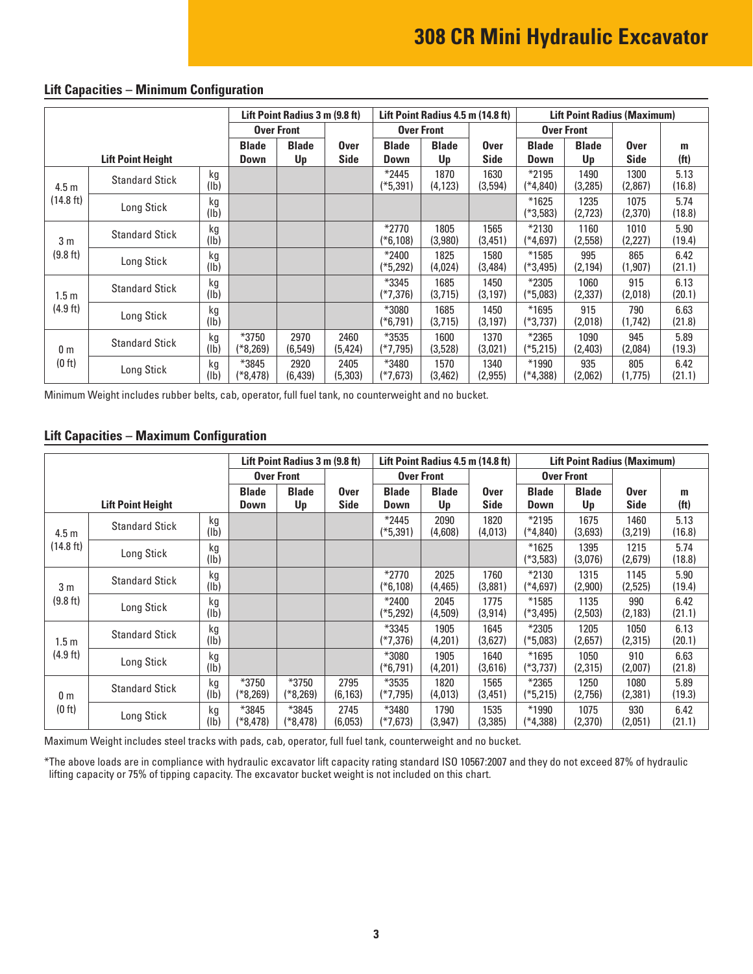|                          |                       |                       | Lift Point Radius 3 m (9.8 ft) |                            |                             | Lift Point Radius 4.5 m (14.8 ft) | <b>Lift Point Radius (Maximum)</b> |                      |                       |                            |                        |                |
|--------------------------|-----------------------|-----------------------|--------------------------------|----------------------------|-----------------------------|-----------------------------------|------------------------------------|----------------------|-----------------------|----------------------------|------------------------|----------------|
|                          |                       |                       | <b>Over Front</b>              |                            |                             | <b>Over Front</b>                 |                                    | <b>Over Front</b>    |                       |                            |                        |                |
| <b>Lift Point Height</b> |                       | <b>Blade</b><br>Down  | <b>Blade</b><br>Up             | <b>Over</b><br><b>Side</b> | <b>Blade</b><br><b>Down</b> | <b>Blade</b><br>Up                | <b>Over</b><br><b>Side</b>         | <b>Blade</b><br>Down | <b>Blade</b><br>Up    | <b>Over</b><br><b>Side</b> | m<br>(f <sup>t</sup> ) |                |
| 4.5 <sub>m</sub>         | <b>Standard Stick</b> | kg<br>(Ib)            |                                |                            |                             | $*2445$<br>(*5,391)               | 1870<br>(4, 123)                   | 1630<br>(3,594)      | $*2195$<br>(*4,840)   | 1490<br>(3,285)            | 1300<br>(2,867)        | 5.13<br>(16.8) |
| (14.8 ft)                | Long Stick            | kg<br>$(\mathsf{lb})$ |                                |                            |                             |                                   |                                    |                      | $*1625$<br>$(*3,583)$ | 1235<br>(2,723)            | 1075<br>(2,370)        | 5.74<br>(18.8) |
| 3 <sub>m</sub>           | <b>Standard Stick</b> | kg<br>(1b)            |                                |                            |                             | $*2770$<br>(*6,108)               | 1805<br>(3,980)                    | 1565<br>(3,451)      | *2130<br>$(*4,697)$   | 1160<br>(2,558)            | 1010<br>(2,227)        | 5.90<br>(19.4) |
| (9.8 ft)                 | Long Stick            | kg<br>(lb)            |                                |                            |                             | $*2400$<br>(*5,292)               | 1825<br>(4,024)                    | 1580<br>(3,484)      | $*1585$<br>(*3,495)   | 995<br>(2, 194)            | 865<br>(1,907)         | 6.42<br>(21.1) |
| 1.5 <sub>m</sub>         | <b>Standard Stick</b> | kg<br>(lb)            |                                |                            |                             | *3345<br>(*7,376)                 | 1685<br>(3,715)                    | 1450<br>(3, 197)     | *2305<br>$(*5,083)$   | 1060<br>(2, 337)           | 915<br>(2,018)         | 6.13<br>(20.1) |
| $(4.9$ ft)               | Long Stick            | kg<br>(1b)            |                                |                            |                             | *3080<br>(*6,791)                 | 1685<br>(3,715)                    | 1450<br>(3, 197)     | $*1695$<br>(*3,737)   | 915<br>(2,018)             | 790<br>(1, 742)        | 6.63<br>(21.8) |
| 0 <sub>m</sub><br>(0 ft) | <b>Standard Stick</b> | kg<br>$(\mathsf{lb})$ | *3750<br>(*8,269)              | 2970<br>(6, 549)           | 2460<br>(5, 424)            | *3535<br>(*7,795)                 | 1600<br>(3,528)                    | 1370<br>(3,021)      | $*2365$<br>$(*5,215)$ | 1090<br>(2,403)            | 945<br>(2,084)         | 5.89<br>(19.3) |
|                          | Long Stick            | kg<br>$(\mathsf{lb})$ | *3845<br>(*8,478)              | 2920<br>(6, 439)           | 2405<br>(5,303)             | *3480<br>(*7,673)                 | 1570<br>(3,462)                    | 1340<br>(2, 955)     | *1990<br>(*4,388)     | 935<br>(2,062)             | 805<br>(1,775)         | 6.42<br>(21.1) |

#### **Lift Capacities – Minimum Configuration**

Minimum Weight includes rubber belts, cab, operator, full fuel tank, no counterweight and no bucket.

#### **Lift Capacities – Maximum Configuration**

|                               |                          | Lift Point Radius 3 m (9.8 ft) |                       |                       | Lift Point Radius 4.5 m (14.8 ft) |                       |                  | <b>Lift Point Radius (Maximum)</b> |                       |                 |                 |                   |
|-------------------------------|--------------------------|--------------------------------|-----------------------|-----------------------|-----------------------------------|-----------------------|------------------|------------------------------------|-----------------------|-----------------|-----------------|-------------------|
|                               |                          | <b>Over Front</b>              |                       |                       | <b>Over Front</b>                 |                       |                  | <b>Over Front</b>                  |                       |                 |                 |                   |
|                               |                          |                                | <b>Blade</b>          | <b>Blade</b>          | Over                              | <b>Blade</b>          | <b>Blade</b>     | <b>Over</b>                        | <b>Blade</b>          | <b>Blade</b>    | <b>Over</b>     | m                 |
|                               | <b>Lift Point Height</b> |                                | <b>Down</b>           | Up                    | <b>Side</b>                       | Down                  | Up               | <b>Side</b>                        | Down                  | Up              | Side            | (f <sup>t</sup> ) |
| 4.5 <sub>m</sub><br>(14.8 ft) | <b>Standard Stick</b>    | kg<br>(1b)                     |                       |                       |                                   | $*2445$<br>(*5,391)   | 2090<br>(4,608)  | 1820<br>(4,013)                    | $*2195$<br>(*4,840)   | 1675<br>(3,693) | 1460<br>(3,219) | 5.13<br>(16.8)    |
|                               | Long Stick               | kg<br>(lb)                     |                       |                       |                                   |                       |                  |                                    | $*1625$<br>$(*3,583)$ | 1395<br>(3,076) | 1215<br>(2,679) | 5.74<br>(18.8)    |
| 3 <sub>m</sub><br>(9.8 ft)    | <b>Standard Stick</b>    | kg<br>(lb)                     |                       |                       |                                   | $*2770$<br>$(*6,108)$ | 2025<br>(4, 465) | 1760<br>(3,881)                    | $*2130$<br>(*4,697)   | 1315<br>(2,900) | 1145<br>(2,525) | 5.90<br>(19.4)    |
|                               | Long Stick               | kg<br>(1b)                     |                       |                       |                                   | $*2400$<br>$(*5,292)$ | 2045<br>(4,509)  | 1775<br>(3, 914)                   | $*1585$<br>(*3,495)   | 1135<br>(2,503) | 990<br>(2, 183) | 6.42<br>(21.1)    |
| 1.5m<br>(4.9 ft)              | <b>Standard Stick</b>    | kg<br>(Ib)                     |                       |                       |                                   | $*3345$<br>$(*7,376)$ | 1905<br>(4,201)  | 1645<br>(3,627)                    | $*2305$<br>(*5,083)   | 1205<br>(2,657) | 1050<br>(2,315) | 6.13<br>(20.1)    |
|                               | Long Stick               | kg<br>(1b)                     |                       |                       |                                   | *3080<br>$(*6,791)$   | 1905<br>(4,201)  | 1640<br>(3,616)                    | $*1695$<br>(*3,737)   | 1050<br>(2,315) | 910<br>(2,007)  | 6.63<br>(21.8)    |
| 0 <sub>m</sub><br>(0 ft)      | <b>Standard Stick</b>    | kg<br>(lb)                     | $*3750$<br>$(*8,269)$ | $*3750$<br>$(*8,269)$ | 2795<br>(6, 163)                  | *3535<br>(*7,795)     | 1820<br>(4,013)  | 1565<br>(3,451)                    | $*2365$<br>(*5,215)   | 1250<br>(2,756) | 1080<br>(2,381) | 5.89<br>(19.3)    |
|                               | Long Stick               | kg<br>(lb)                     | *3845<br>$(*8,478)$   | *3845<br>$(*8,478)$   | 2745<br>(6,053)                   | *3480<br>$(*7,673)$   | 1790<br>(3,947)  | 1535<br>(3,385)                    | *1990<br>(*4,388)     | 1075<br>(2,370) | 930<br>(2,051)  | 6.42<br>(21.1)    |

Maximum Weight includes steel tracks with pads, cab, operator, full fuel tank, counterweight and no bucket.

\*The above loads are in compliance with hydraulic excavator lift capacity rating standard ISO 10567:2007 and they do not exceed 87% of hydraulic lifting capacity or 75% of tipping capacity. The excavator bucket weight is not included on this chart.